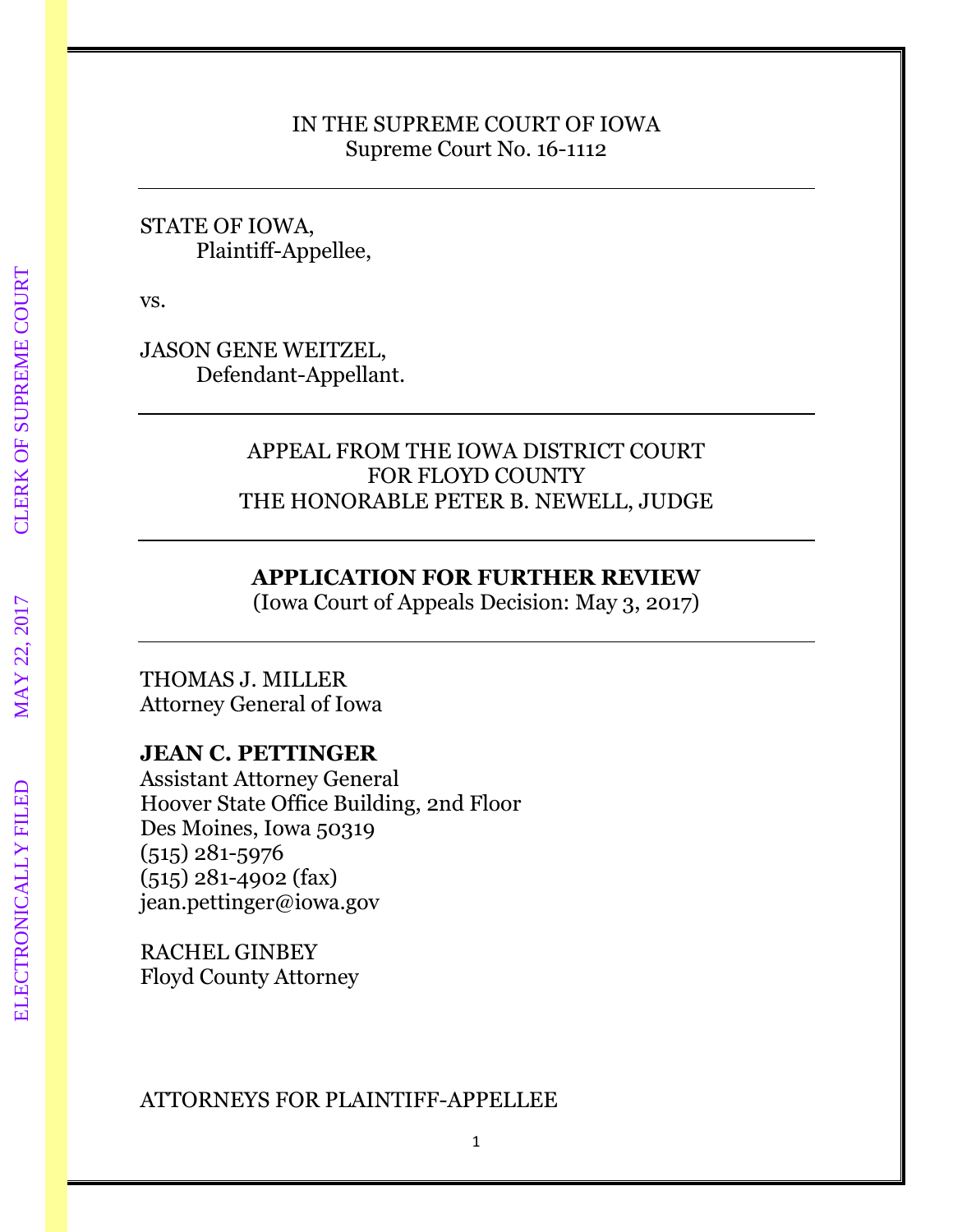#### IN THE SUPREME COURT OF IOWA Supreme Court No. 16-1112

#### STATE OF IOWA, Plaintiff-Appellee,

vs.

JASON GENE WEITZEL, Defendant-Appellant.

# APPEAL FROM THE IOWA DISTRICT COURT FOR FLOYD COUNTY THE HONORABLE PETER B. NEWELL, JUDGE

## **APPLICATION FOR FURTHER REVIEW**

(Iowa Court of Appeals Decision: May 3, 2017)

## THOMAS J. MILLER Attorney General of Iowa

# **JEAN C. PETTINGER**

Assistant Attorney General Hoover State Office Building, 2nd Floor Des Moines, Iowa 50319 (515) 281-5976 (515) 281-4902 (fax) jean.pettinger@iowa.gov

RACHEL GINBEY Floyd County Attorney

## ATTORNEYS FOR PLAINTIFF-APPELLEE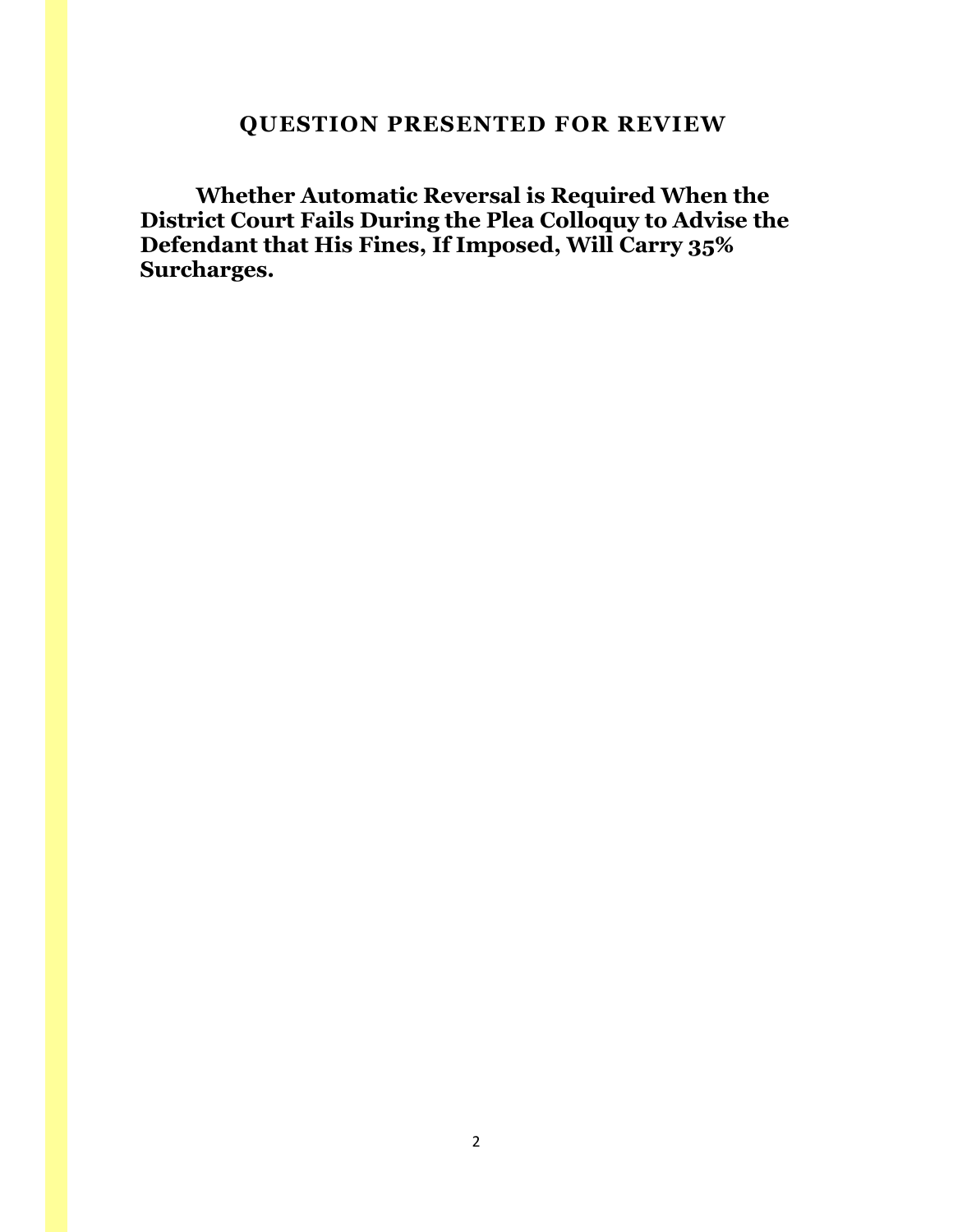# <span id="page-1-0"></span> **QUESTION PRESENTED FOR REVIEW**

**Whether Automatic Reversal is Required When the District Court Fails During the Plea Colloquy to Advise the Defendant that His Fines, If Imposed, Will Carry 35% Surcharges.**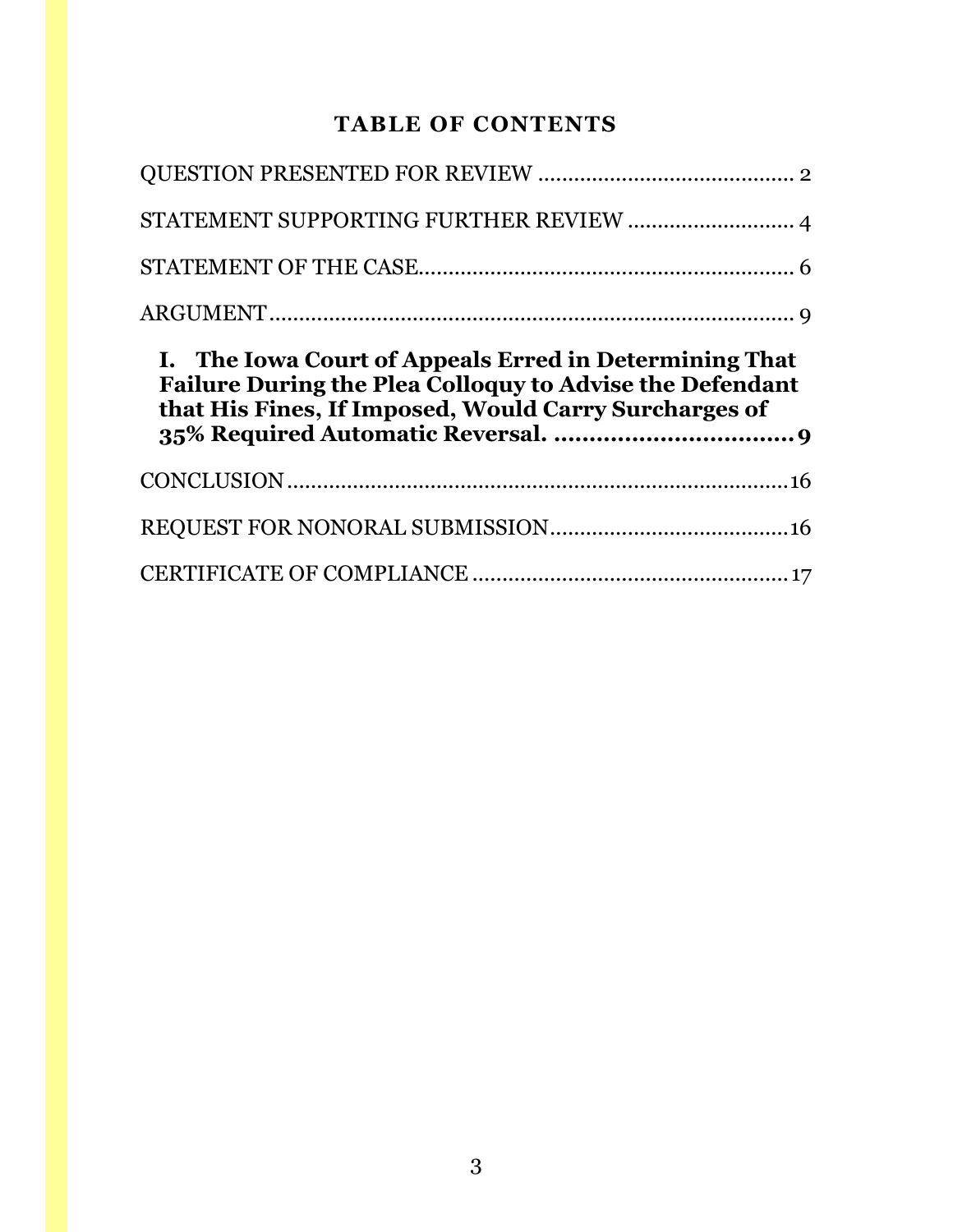# **TABLE OF CONTENTS**

| STATEMENT SUPPORTING FURTHER REVIEW  4                                                                                                                                             |  |
|------------------------------------------------------------------------------------------------------------------------------------------------------------------------------------|--|
|                                                                                                                                                                                    |  |
|                                                                                                                                                                                    |  |
| I. The Iowa Court of Appeals Erred in Determining That<br><b>Failure During the Plea Colloquy to Advise the Defendant</b><br>that His Fines, If Imposed, Would Carry Surcharges of |  |
|                                                                                                                                                                                    |  |
|                                                                                                                                                                                    |  |
|                                                                                                                                                                                    |  |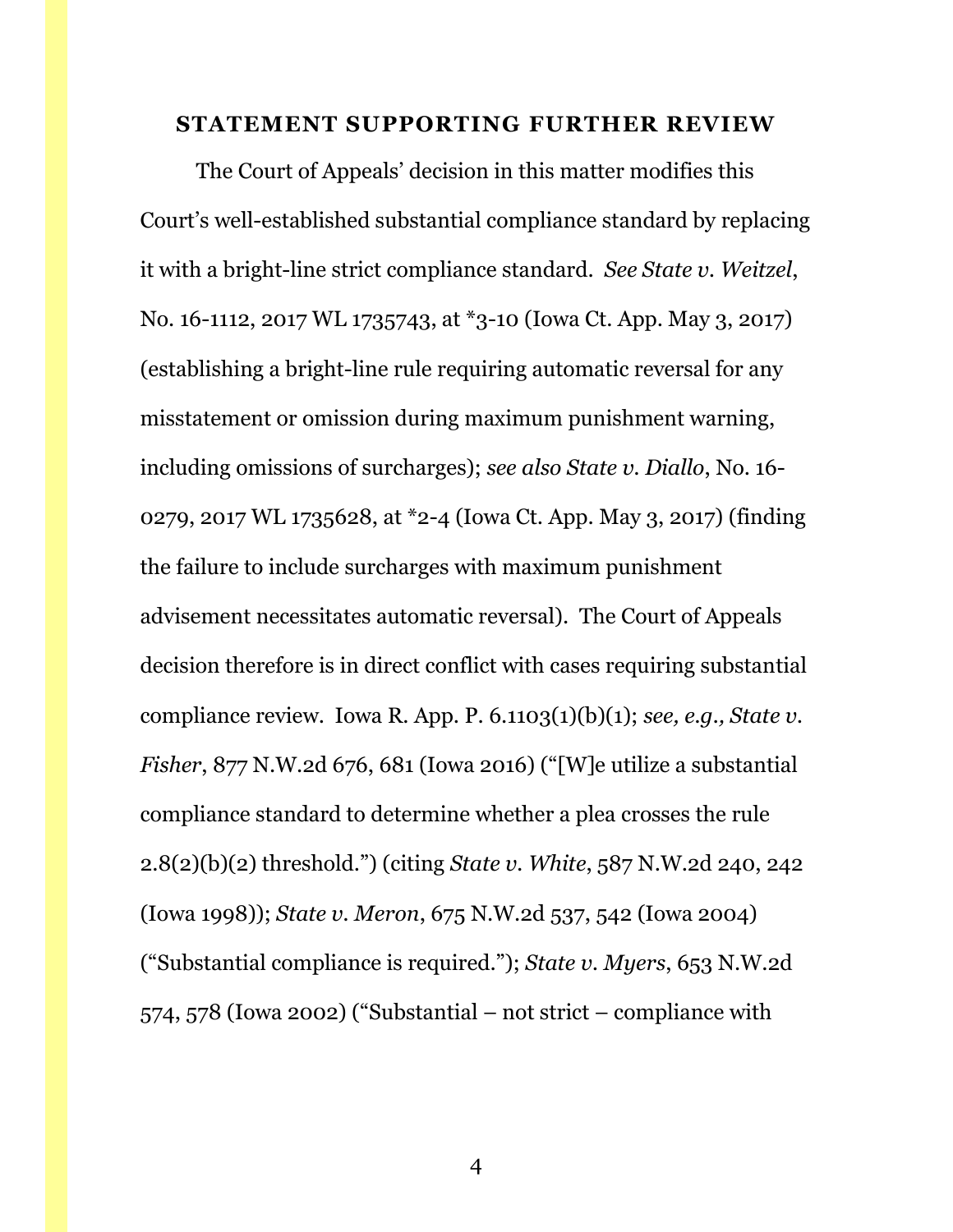#### <span id="page-3-0"></span>**STATEMENT SUPPORTING FURTHER REVIEW**

The Court of Appeals' decision in this matter modifies this Court's well-established substantial compliance standard by replacing it with a bright-line strict compliance standard. *See State v. Weitzel*, No. 16-1112, 2017 WL 1735743, at \*3-10 (Iowa Ct. App. May 3, 2017) (establishing a bright-line rule requiring automatic reversal for any misstatement or omission during maximum punishment warning, including omissions of surcharges); *see also State v. Diallo*, No. 16- 0279, 2017 WL 1735628, at \*2-4 (Iowa Ct. App. May 3, 2017) (finding the failure to include surcharges with maximum punishment advisement necessitates automatic reversal). The Court of Appeals decision therefore is in direct conflict with cases requiring substantial compliance review. Iowa R. App. P. 6.1103(1)(b)(1); *see, e.g., State v. Fisher*, 877 N.W.2d 676, 681 (Iowa 2016) ("[W]e utilize a substantial compliance standard to determine whether a plea crosses the rule 2.8(2)(b)(2) threshold.") (citing *State v. White*, 587 N.W.2d 240, 242 (Iowa 1998)); *State v. Meron*, 675 N.W.2d 537, 542 (Iowa 2004) ("Substantial compliance is required."); *State v. Myers*, 653 N.W.2d 574, 578 (Iowa 2002) ("Substantial – not strict – compliance with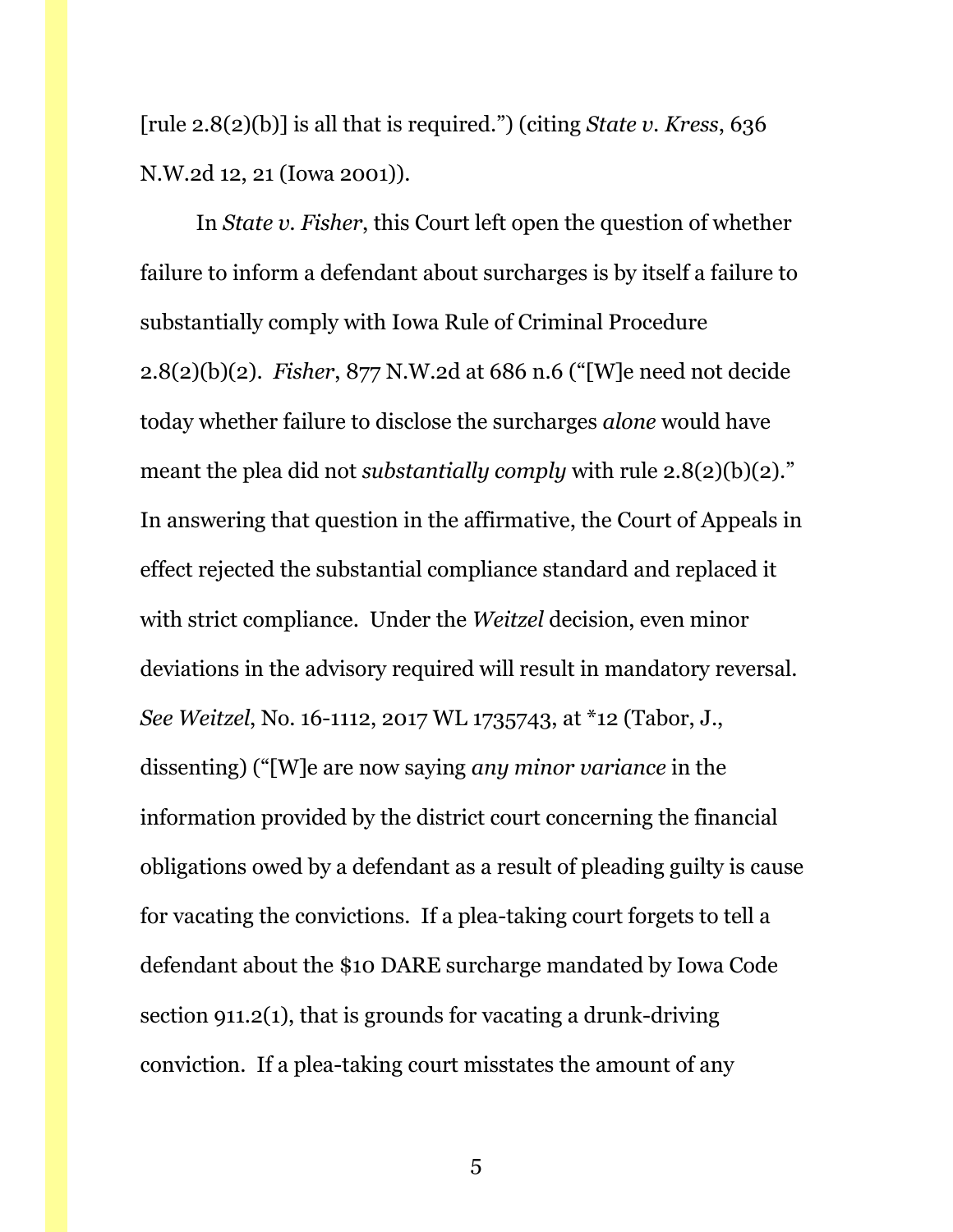[rule 2.8(2)(b)] is all that is required.") (citing *State v. Kress*, 636 N.W.2d 12, 21 (Iowa 2001)).

In *State v. Fisher*, this Court left open the question of whether failure to inform a defendant about surcharges is by itself a failure to substantially comply with Iowa Rule of Criminal Procedure 2.8(2)(b)(2). *Fisher*, 877 N.W.2d at 686 n.6 ("[W]e need not decide today whether failure to disclose the surcharges *alone* would have meant the plea did not *substantially comply* with rule 2.8(2)(b)(2)." In answering that question in the affirmative, the Court of Appeals in effect rejected the substantial compliance standard and replaced it with strict compliance. Under the *Weitzel* decision, even minor deviations in the advisory required will result in mandatory reversal. *See Weitzel*, No. 16-1112, 2017 WL 1735743, at \*12 (Tabor, J., dissenting) ("[W]e are now saying *any minor variance* in the information provided by the district court concerning the financial obligations owed by a defendant as a result of pleading guilty is cause for vacating the convictions. If a plea-taking court forgets to tell a defendant about the \$10 DARE surcharge mandated by Iowa Code section 911.2(1), that is grounds for vacating a drunk-driving conviction. If a plea-taking court misstates the amount of any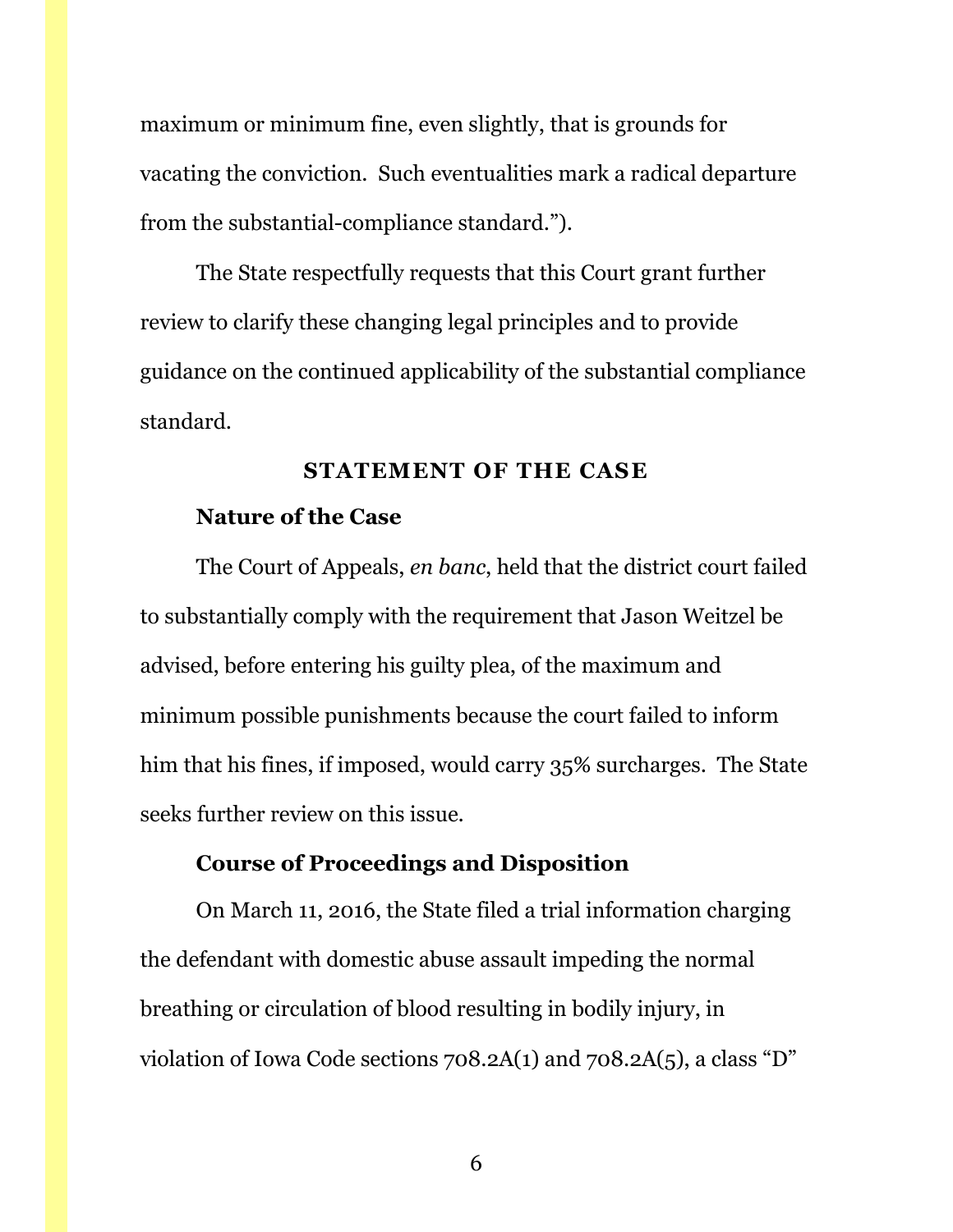maximum or minimum fine, even slightly, that is grounds for vacating the conviction. Such eventualities mark a radical departure from the substantial-compliance standard.").

The State respectfully requests that this Court grant further review to clarify these changing legal principles and to provide guidance on the continued applicability of the substantial compliance standard.

#### **STATEMENT OF THE CASE**

#### <span id="page-5-0"></span>**Nature of the Case**

The Court of Appeals, *en banc*, held that the district court failed to substantially comply with the requirement that Jason Weitzel be advised, before entering his guilty plea, of the maximum and minimum possible punishments because the court failed to inform him that his fines, if imposed, would carry 35% surcharges. The State seeks further review on this issue.

#### **Course of Proceedings and Disposition**

On March 11, 2016, the State filed a trial information charging the defendant with domestic abuse assault impeding the normal breathing or circulation of blood resulting in bodily injury, in violation of Iowa Code sections 708.2A(1) and 708.2A(5), a class "D"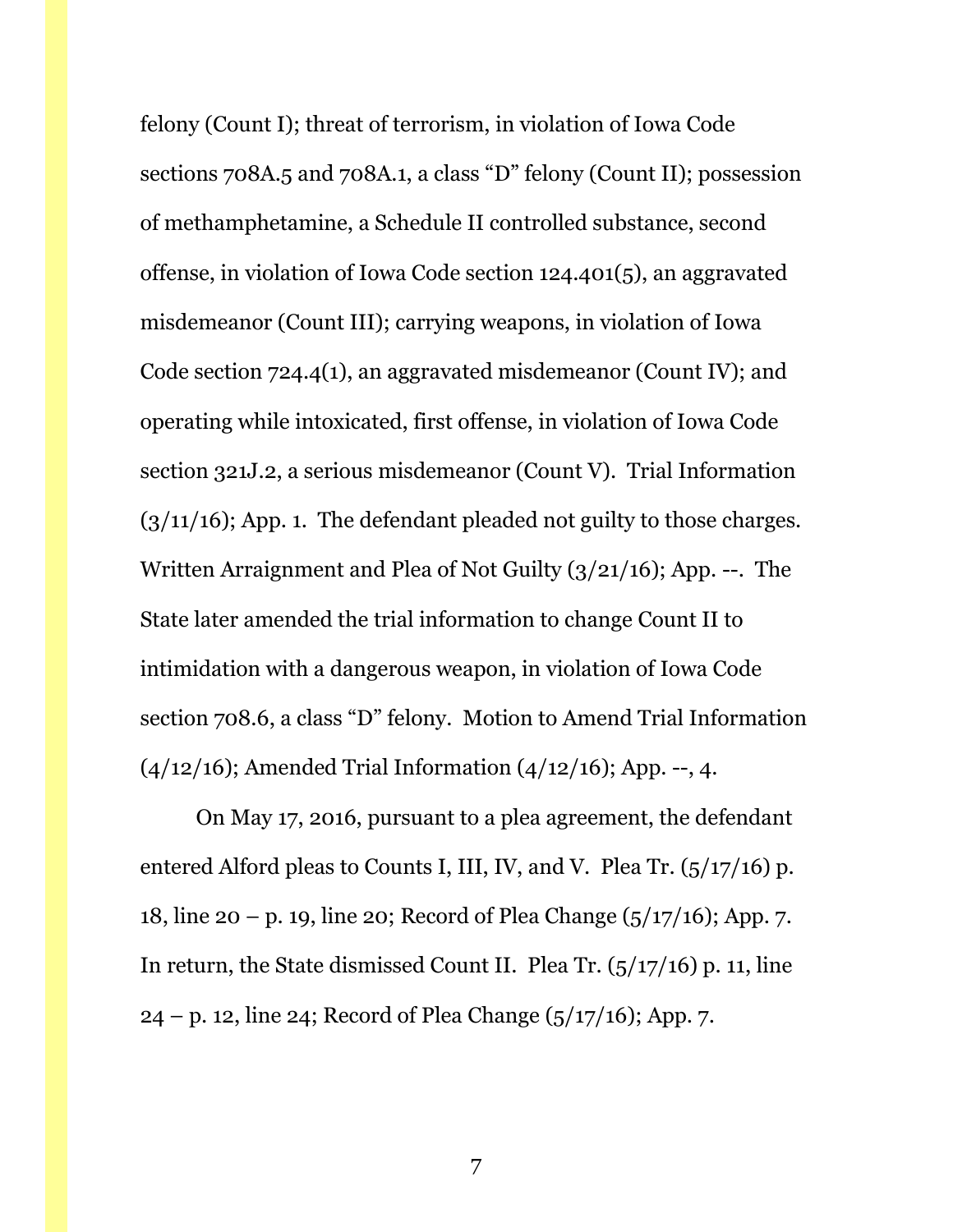felony (Count I); threat of terrorism, in violation of Iowa Code sections 708A.5 and 708A.1, a class "D" felony (Count II); possession of methamphetamine, a Schedule II controlled substance, second offense, in violation of Iowa Code section 124.401(5), an aggravated misdemeanor (Count III); carrying weapons, in violation of Iowa Code section 724.4(1), an aggravated misdemeanor (Count IV); and operating while intoxicated, first offense, in violation of Iowa Code section 321J.2, a serious misdemeanor (Count V). Trial Information  $(3/11/16)$ ; App. 1. The defendant pleaded not guilty to those charges. Written Arraignment and Plea of Not Guilty (3/21/16); App. --. The State later amended the trial information to change Count II to intimidation with a dangerous weapon, in violation of Iowa Code section 708.6, a class "D" felony. Motion to Amend Trial Information  $(4/12/16)$ ; Amended Trial Information  $(4/12/16)$ ; App. --, 4.

On May 17, 2016, pursuant to a plea agreement, the defendant entered Alford pleas to Counts I, III, IV, and V. Plea Tr. (5/17/16) p. 18, line 20 – p. 19, line 20; Record of Plea Change (5/17/16); App. 7. In return, the State dismissed Count II. Plea Tr. (5/17/16) p. 11, line  $24 - p.$  12, line 24; Record of Plea Change ( $5/17/16$ ); App. 7.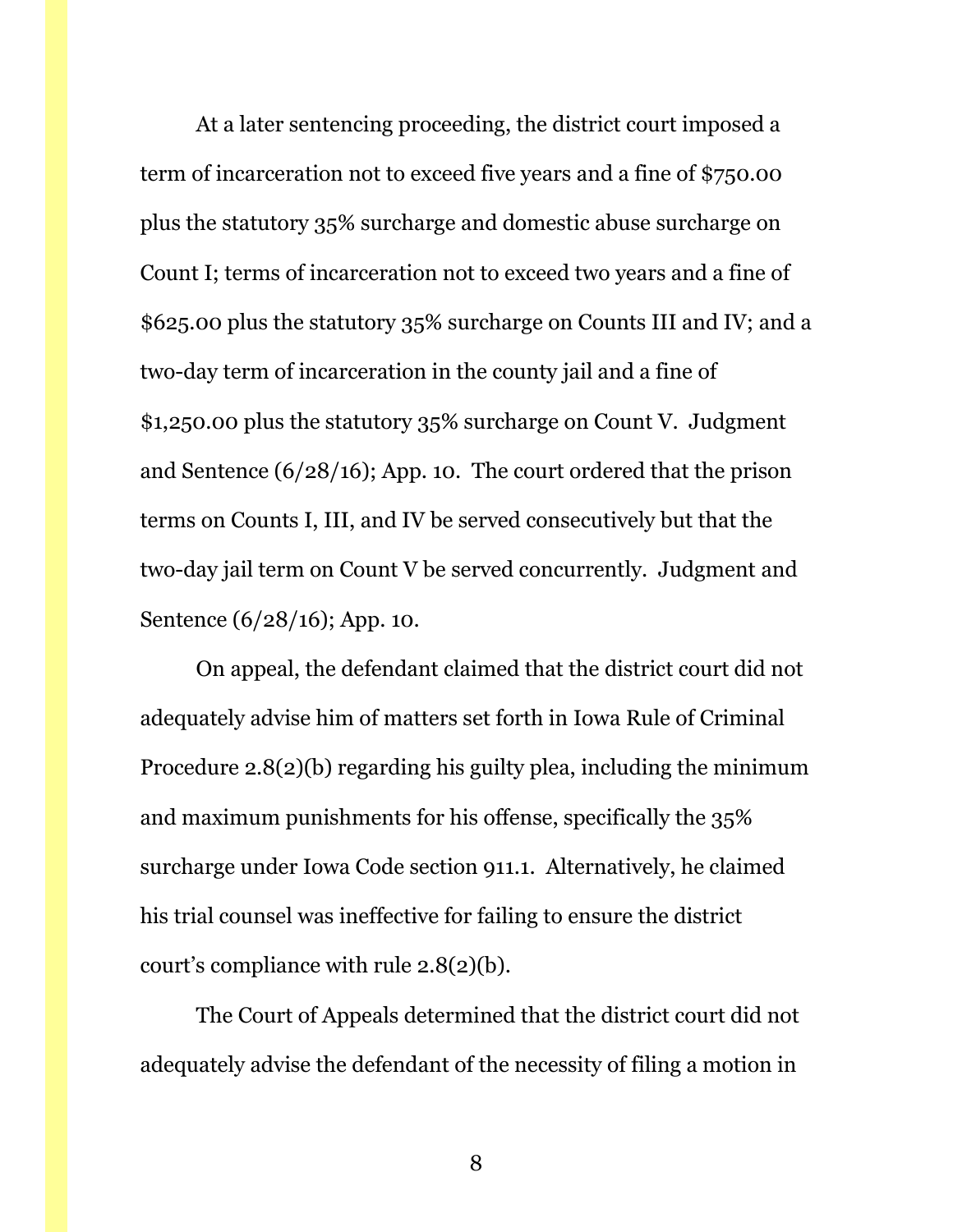At a later sentencing proceeding, the district court imposed a term of incarceration not to exceed five years and a fine of \$750.00 plus the statutory 35% surcharge and domestic abuse surcharge on Count I; terms of incarceration not to exceed two years and a fine of \$625.00 plus the statutory 35% surcharge on Counts III and IV; and a two-day term of incarceration in the county jail and a fine of \$1,250.00 plus the statutory 35% surcharge on Count V. Judgment and Sentence (6/28/16); App. 10. The court ordered that the prison terms on Counts I, III, and IV be served consecutively but that the two-day jail term on Count V be served concurrently. Judgment and Sentence (6/28/16); App. 10.

On appeal, the defendant claimed that the district court did not adequately advise him of matters set forth in Iowa Rule of Criminal Procedure 2.8(2)(b) regarding his guilty plea, including the minimum and maximum punishments for his offense, specifically the 35% surcharge under Iowa Code section 911.1. Alternatively, he claimed his trial counsel was ineffective for failing to ensure the district court's compliance with rule 2.8(2)(b).

The Court of Appeals determined that the district court did not adequately advise the defendant of the necessity of filing a motion in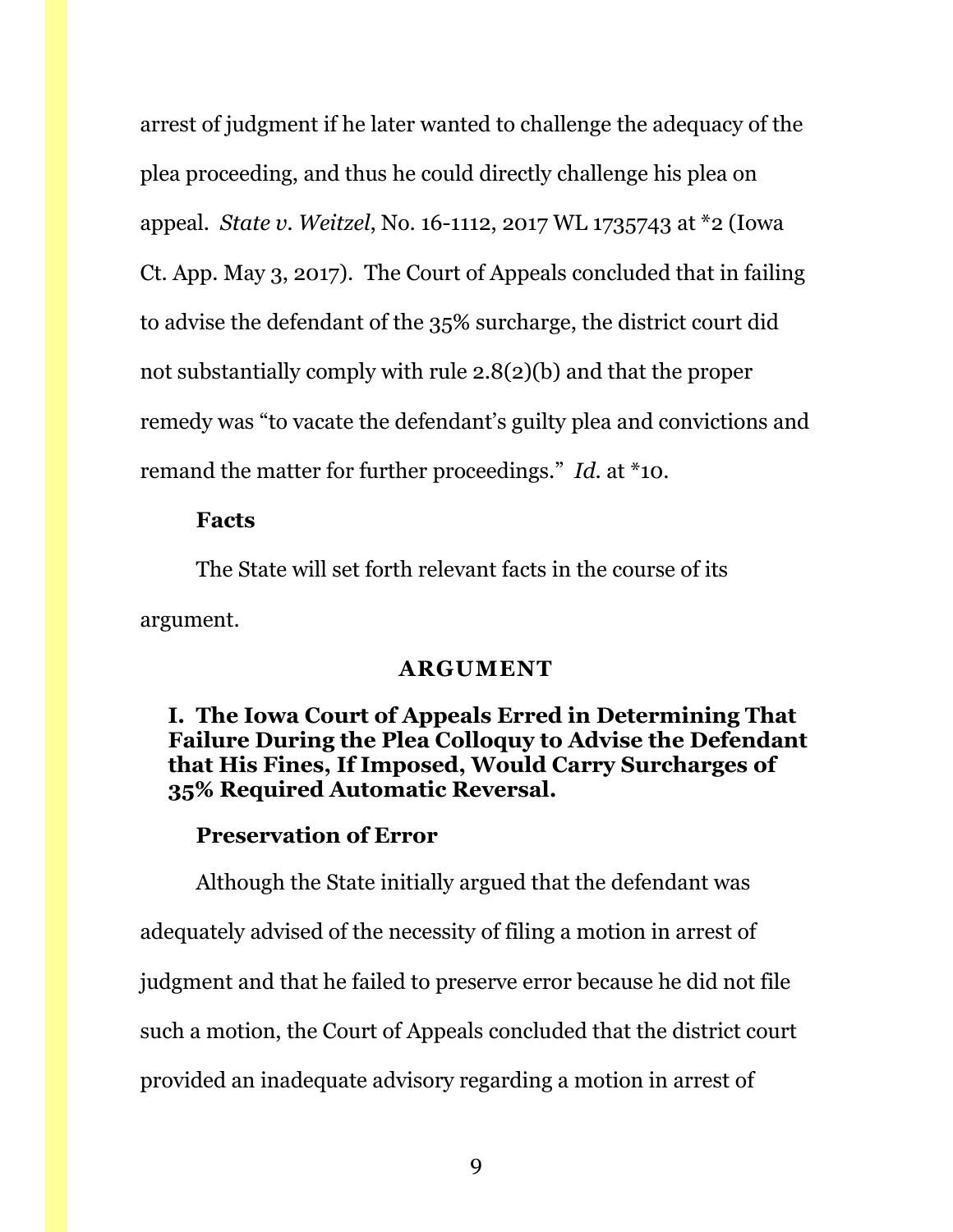arrest of judgment if he later wanted to challenge the adequacy of the plea proceeding, and thus he could directly challenge his plea on appeal. *State v. Weitzel*, No. 16-1112, 2017 WL 1735743 at \*2 (Iowa Ct. App. May 3, 2017). The Court of Appeals concluded that in failing to advise the defendant of the 35% surcharge, the district court did not substantially comply with rule 2.8(2)(b) and that the proper remedy was "to vacate the defendant's guilty plea and convictions and remand the matter for further proceedings." *Id*. at \*10.

#### **Facts**

The State will set forth relevant facts in the course of its argument.

#### **ARGUMENT**

## <span id="page-8-1"></span><span id="page-8-0"></span>**I. The Iowa Court of Appeals Erred in Determining That Failure During the Plea Colloquy to Advise the Defendant that His Fines, If Imposed, Would Carry Surcharges of 35% Required Automatic Reversal.**

#### **Preservation of Error**

Although the State initially argued that the defendant was adequately advised of the necessity of filing a motion in arrest of judgment and that he failed to preserve error because he did not file such a motion, the Court of Appeals concluded that the district court provided an inadequate advisory regarding a motion in arrest of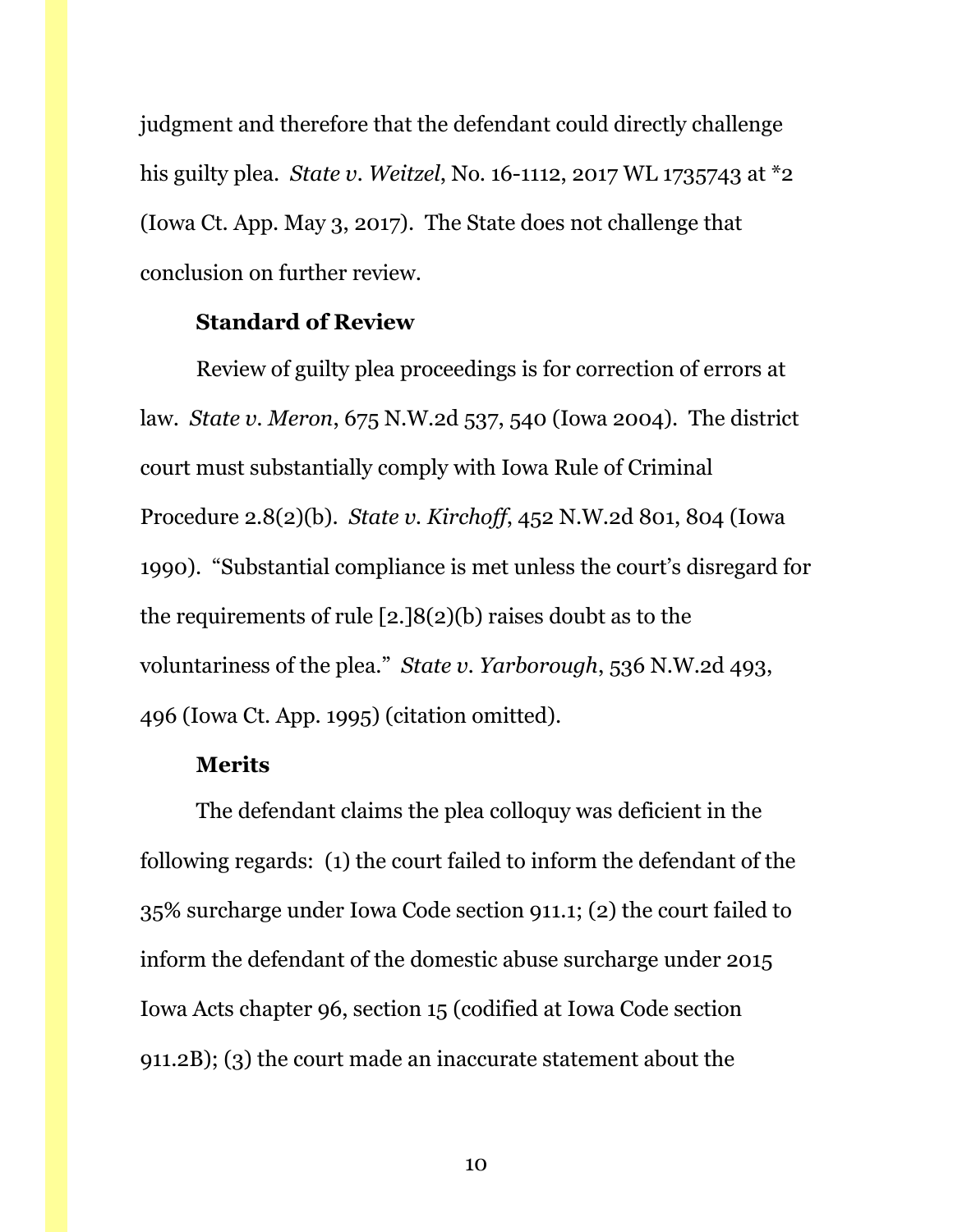judgment and therefore that the defendant could directly challenge his guilty plea. *State v. Weitzel*, No. 16-1112, 2017 WL 1735743 at \*2 (Iowa Ct. App. May 3, 2017). The State does not challenge that conclusion on further review.

#### **Standard of Review**

Review of guilty plea proceedings is for correction of errors at law. *State v. Meron*, 675 N.W.2d 537, 540 (Iowa 2004). The district court must substantially comply with Iowa Rule of Criminal Procedure 2.8(2)(b). *State v. Kirchoff*, 452 N.W.2d 801, 804 (Iowa 1990). "Substantial compliance is met unless the court's disregard for the requirements of rule [2.]8(2)(b) raises doubt as to the voluntariness of the plea." *State v. Yarborough*, 536 N.W.2d 493, 496 (Iowa Ct. App. 1995) (citation omitted).

#### **Merits**

The defendant claims the plea colloquy was deficient in the following regards: (1) the court failed to inform the defendant of the 35% surcharge under Iowa Code section 911.1; (2) the court failed to inform the defendant of the domestic abuse surcharge under 2015 Iowa Acts chapter 96, section 15 (codified at Iowa Code section 911.2B); (3) the court made an inaccurate statement about the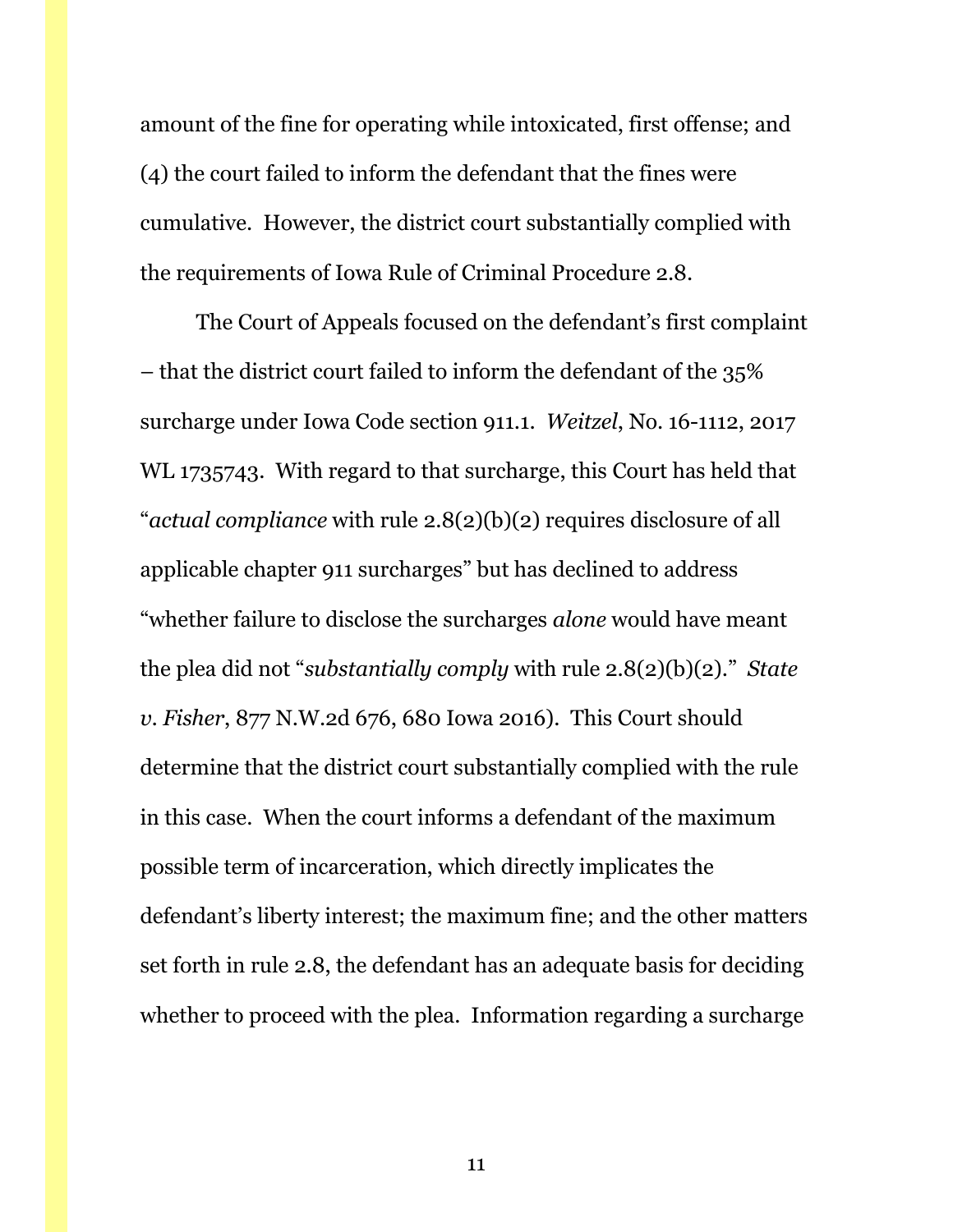amount of the fine for operating while intoxicated, first offense; and (4) the court failed to inform the defendant that the fines were cumulative. However, the district court substantially complied with the requirements of Iowa Rule of Criminal Procedure 2.8.

The Court of Appeals focused on the defendant's first complaint – that the district court failed to inform the defendant of the 35% surcharge under Iowa Code section 911.1. *Weitzel*, No. 16-1112, 2017 WL 1735743. With regard to that surcharge, this Court has held that "*actual compliance* with rule 2.8(2)(b)(2) requires disclosure of all applicable chapter 911 surcharges" but has declined to address "whether failure to disclose the surcharges *alone* would have meant the plea did not "*substantially comply* with rule 2.8(2)(b)(2)." *State v. Fisher*, 877 N.W.2d 676, 680 Iowa 2016). This Court should determine that the district court substantially complied with the rule in this case. When the court informs a defendant of the maximum possible term of incarceration, which directly implicates the defendant's liberty interest; the maximum fine; and the other matters set forth in rule 2.8, the defendant has an adequate basis for deciding whether to proceed with the plea. Information regarding a surcharge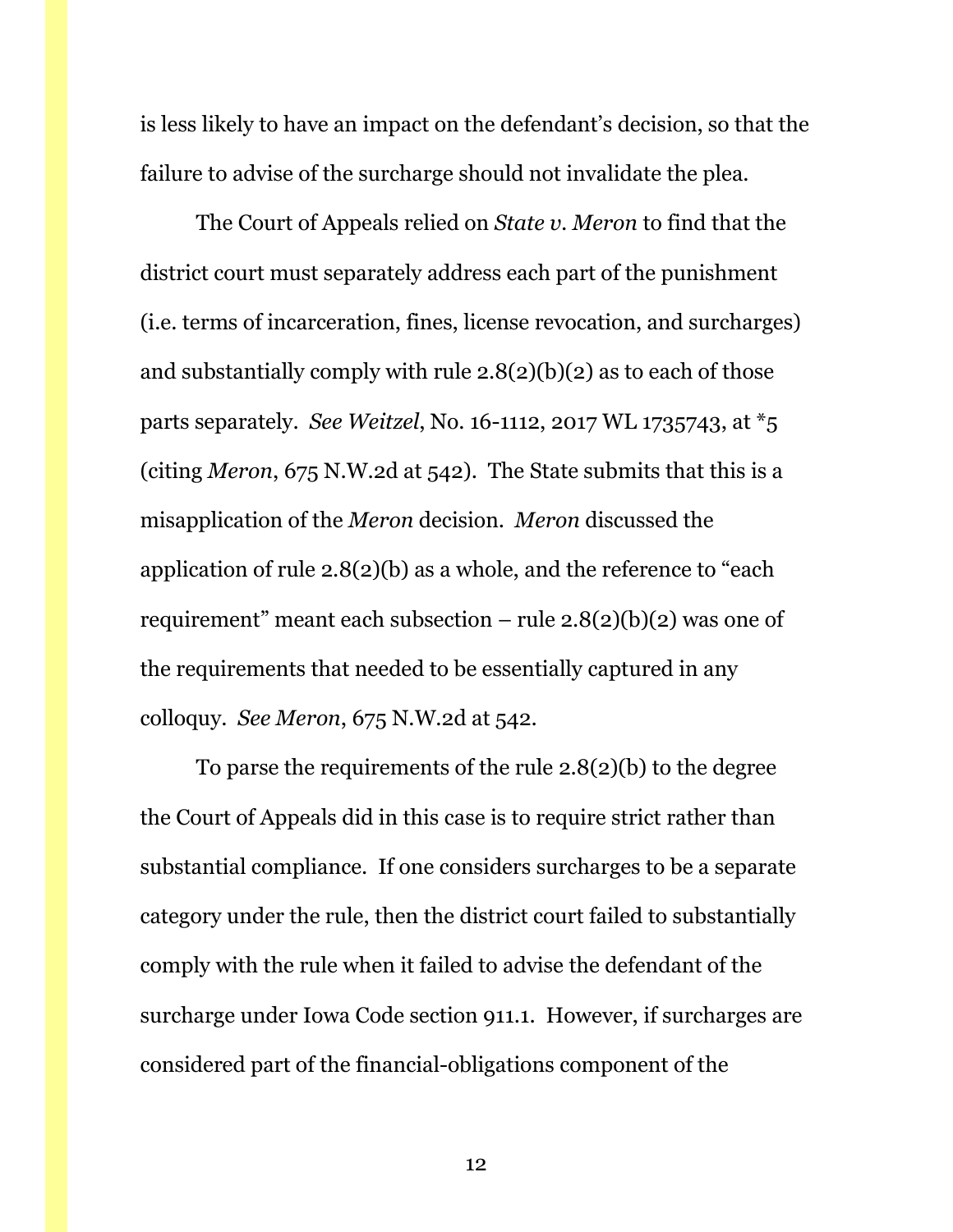is less likely to have an impact on the defendant's decision, so that the failure to advise of the surcharge should not invalidate the plea.

The Court of Appeals relied on *State v. Meron* to find that the district court must separately address each part of the punishment (i.e. terms of incarceration, fines, license revocation, and surcharges) and substantially comply with rule  $2.8(2)(b)(2)$  as to each of those parts separately. *See Weitzel*, No. 16-1112, 2017 WL 1735743, at \*5 (citing *Meron*, 675 N.W.2d at 542). The State submits that this is a misapplication of the *Meron* decision. *Meron* discussed the application of rule 2.8(2)(b) as a whole, and the reference to "each requirement" meant each subsection – rule  $2.8(2)(b)(2)$  was one of the requirements that needed to be essentially captured in any colloquy. *See Meron*, 675 N.W.2d at 542.

To parse the requirements of the rule 2.8(2)(b) to the degree the Court of Appeals did in this case is to require strict rather than substantial compliance. If one considers surcharges to be a separate category under the rule, then the district court failed to substantially comply with the rule when it failed to advise the defendant of the surcharge under Iowa Code section 911.1. However, if surcharges are considered part of the financial-obligations component of the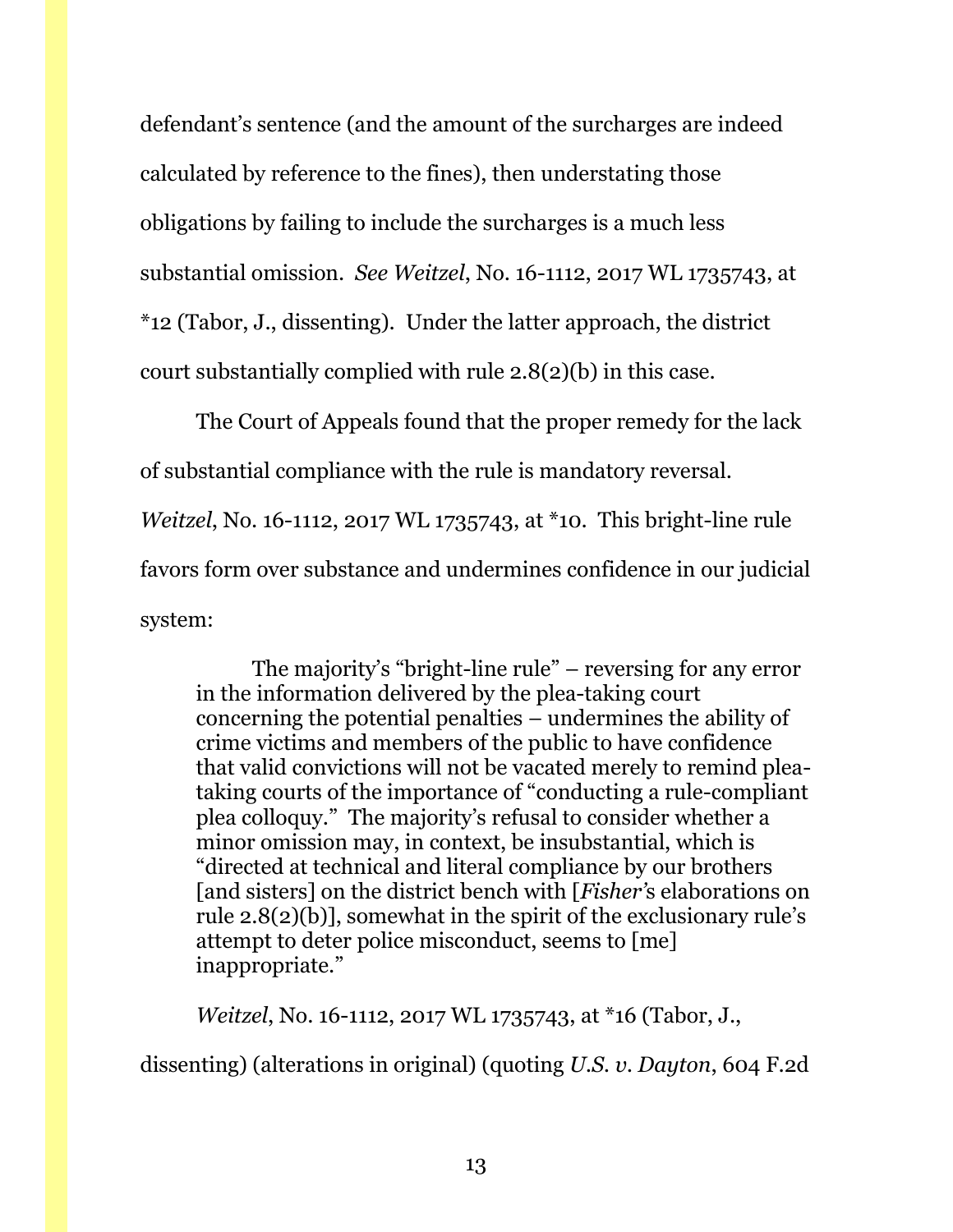defendant's sentence (and the amount of the surcharges are indeed calculated by reference to the fines), then understating those obligations by failing to include the surcharges is a much less substantial omission. *See Weitzel*, No. 16-1112, 2017 WL 1735743, at \*12 (Tabor, J., dissenting). Under the latter approach, the district court substantially complied with rule 2.8(2)(b) in this case.

The Court of Appeals found that the proper remedy for the lack of substantial compliance with the rule is mandatory reversal. *Weitzel*, No. 16-1112, 2017 WL 1735743, at \*10. This bright-line rule favors form over substance and undermines confidence in our judicial system:

The majority's "bright-line rule" – reversing for any error in the information delivered by the plea-taking court concerning the potential penalties – undermines the ability of crime victims and members of the public to have confidence that valid convictions will not be vacated merely to remind pleataking courts of the importance of "conducting a rule-compliant plea colloquy." The majority's refusal to consider whether a minor omission may, in context, be insubstantial, which is "directed at technical and literal compliance by our brothers [and sisters] on the district bench with [*Fisher'*s elaborations on rule 2.8(2)(b)], somewhat in the spirit of the exclusionary rule's attempt to deter police misconduct, seems to [me] inappropriate."

*Weitzel*, No. 16-1112, 2017 WL 1735743, at \*16 (Tabor, J.,

dissenting) (alterations in original) (quoting *U.S. v. Dayton*, 604 F.2d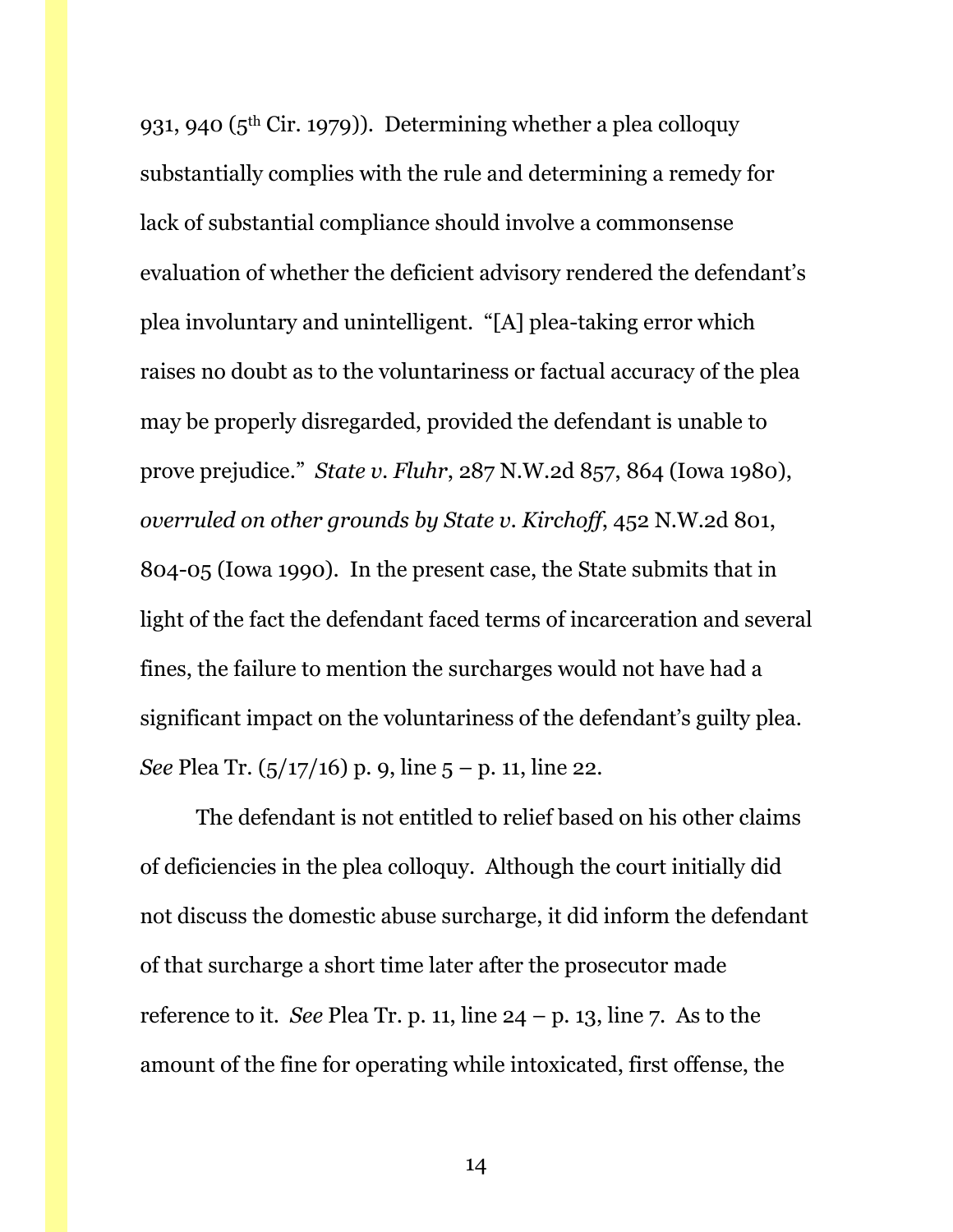931, 940 (5th Cir. 1979)). Determining whether a plea colloquy substantially complies with the rule and determining a remedy for lack of substantial compliance should involve a commonsense evaluation of whether the deficient advisory rendered the defendant's plea involuntary and unintelligent. "[A] plea-taking error which raises no doubt as to the voluntariness or factual accuracy of the plea may be properly disregarded, provided the defendant is unable to prove prejudice." *State v. Fluhr*, 287 N.W.2d 857, 864 (Iowa 1980), *overruled on other grounds by State v. Kirchoff*, 452 N.W.2d 801, 804-05 (Iowa 1990). In the present case, the State submits that in light of the fact the defendant faced terms of incarceration and several fines, the failure to mention the surcharges would not have had a significant impact on the voluntariness of the defendant's guilty plea. *See* Plea Tr. (5/17/16) p. 9, line 5 – p. 11, line 22.

The defendant is not entitled to relief based on his other claims of deficiencies in the plea colloquy. Although the court initially did not discuss the domestic abuse surcharge, it did inform the defendant of that surcharge a short time later after the prosecutor made reference to it. *See* Plea Tr. p. 11, line 24 – p. 13, line 7. As to the amount of the fine for operating while intoxicated, first offense, the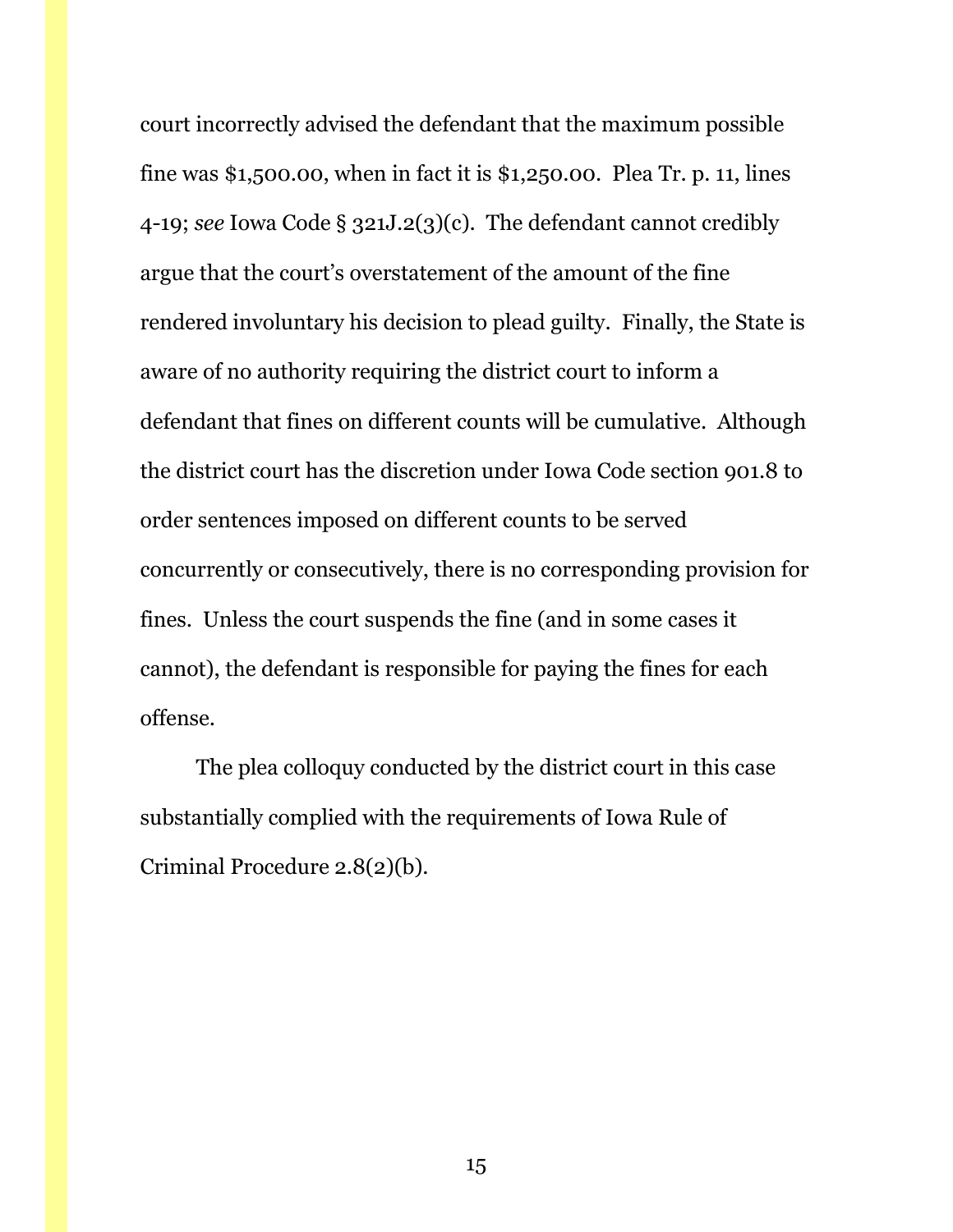court incorrectly advised the defendant that the maximum possible fine was \$1,500.00, when in fact it is \$1,250.00. Plea Tr. p. 11, lines 4-19; *see* Iowa Code § 321J.2(3)(c). The defendant cannot credibly argue that the court's overstatement of the amount of the fine rendered involuntary his decision to plead guilty. Finally, the State is aware of no authority requiring the district court to inform a defendant that fines on different counts will be cumulative. Although the district court has the discretion under Iowa Code section 901.8 to order sentences imposed on different counts to be served concurrently or consecutively, there is no corresponding provision for fines. Unless the court suspends the fine (and in some cases it cannot), the defendant is responsible for paying the fines for each offense.

The plea colloquy conducted by the district court in this case substantially complied with the requirements of Iowa Rule of Criminal Procedure 2.8(2)(b).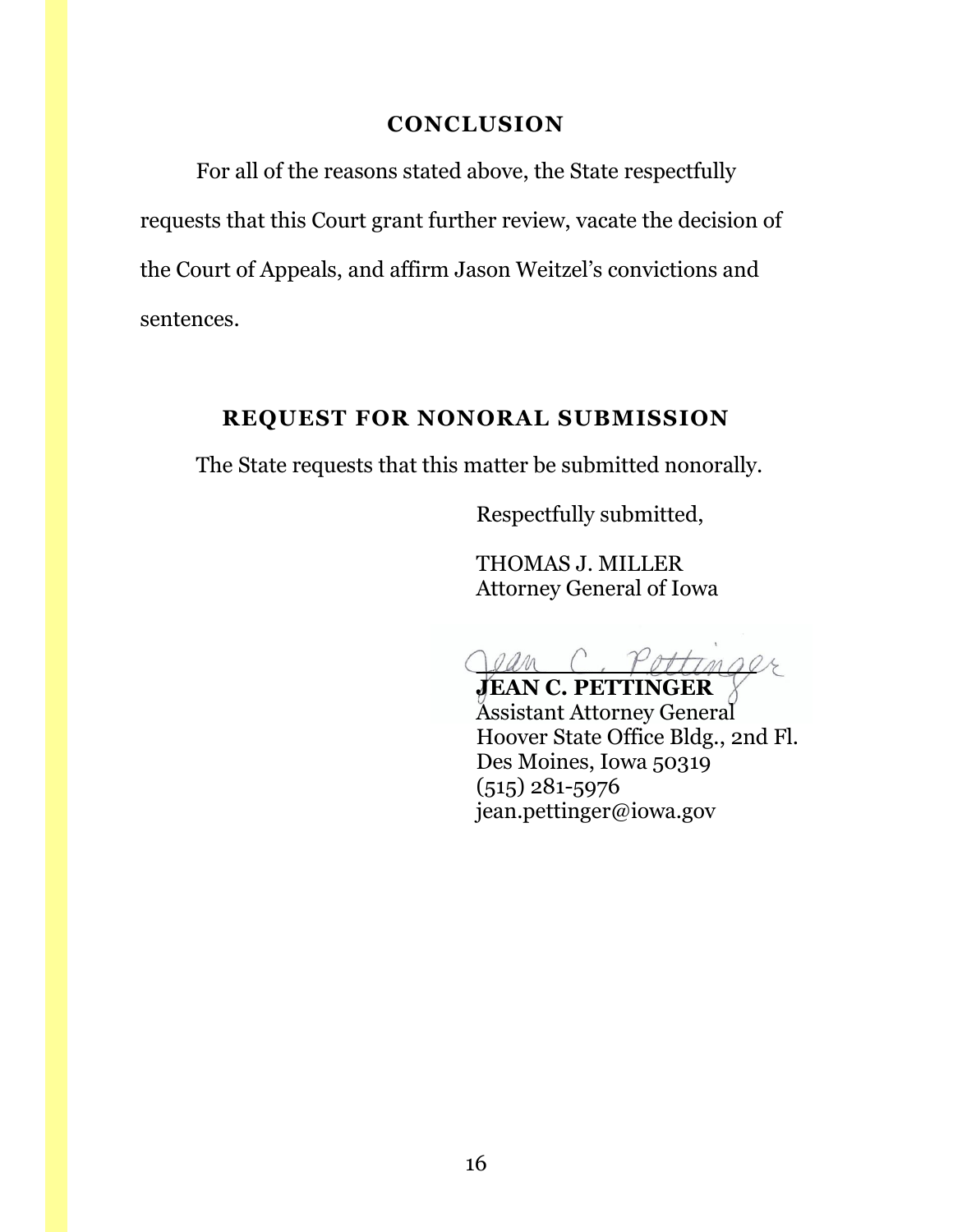## **CONCLUSION**

<span id="page-15-0"></span>For all of the reasons stated above, the State respectfully requests that this Court grant further review, vacate the decision of the Court of Appeals, and affirm Jason Weitzel's convictions and sentences.

## **REQUEST FOR NONORAL SUBMISSION**

<span id="page-15-1"></span>The State requests that this matter be submitted nonorally.

Respectfully submitted,

THOMAS J. MILLER Attorney General of Iowa

 $0$ an

**JEAN C. PETTINGER** Assistant Attorney General Hoover State Office Bldg., 2nd Fl. Des Moines, Iowa 50319 (515) 281-5976 jean.pettinger@iowa.gov